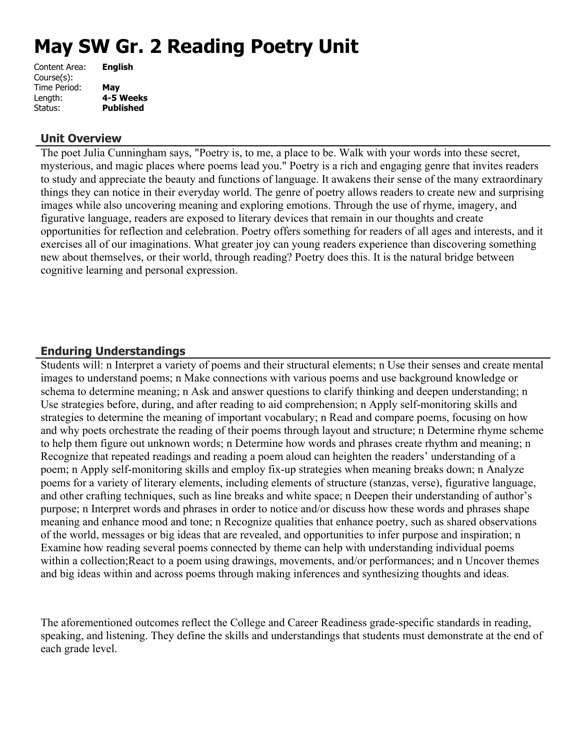# **May SW Gr. 2 Reading Poetry Unit**

| Content Area: | <b>English</b>   |
|---------------|------------------|
| Course(s):    |                  |
| Time Period:  | May              |
| Length:       | 4-5 Weeks        |
| Status:       | <b>Published</b> |
|               |                  |

#### **Unit Overview**

The poet Julia Cunningham says, "Poetry is, to me, a place to be. Walk with your words into these secret, mysterious, and magic places where poems lead you." Poetry is a rich and engaging genre that invites readers to study and appreciate the beauty and functions of language. It awakens their sense of the many extraordinary things they can notice in their everyday world. The genre of poetry allows readers to create new and surprising images while also uncovering meaning and exploring emotions. Through the use of rhyme, imagery, and figurative language, readers are exposed to literary devices that remain in our thoughts and create opportunities for reflection and celebration. Poetry offers something for readers of all ages and interests, and it exercises all of our imaginations. What greater joy can young readers experience than discovering something new about themselves, or their world, through reading? Poetry does this. It is the natural bridge between cognitive learning and personal expression.

# **Enduring Understandings**

Students will: n Interpret a variety of poems and their structural elements; n Use their senses and create mental images to understand poems; n Make connections with various poems and use background knowledge or schema to determine meaning; n Ask and answer questions to clarify thinking and deepen understanding; n Use strategies before, during, and after reading to aid comprehension; n Apply self-monitoring skills and strategies to determine the meaning of important vocabulary; n Read and compare poems, focusing on how and why poets orchestrate the reading of their poems through layout and structure; n Determine rhyme scheme to help them figure out unknown words; n Determine how words and phrases create rhythm and meaning; n Recognize that repeated readings and reading a poem aloud can heighten the readers' understanding of a poem; n Apply self-monitoring skills and employ fix-up strategies when meaning breaks down; n Analyze poems for a variety of literary elements, including elements of structure (stanzas, verse), figurative language, and other crafting techniques, such as line breaks and white space; n Deepen their understanding of author's purpose; n Interpret words and phrases in order to notice and/or discuss how these words and phrases shape meaning and enhance mood and tone; n Recognize qualities that enhance poetry, such as shared observations of the world, messages or big ideas that are revealed, and opportunities to infer purpose and inspiration; n Examine how reading several poems connected by theme can help with understanding individual poems within a collection; React to a poem using drawings, movements, and/or performances; and n Uncover themes and big ideas within and across poems through making inferences and synthesizing thoughts and ideas.

The aforementioned outcomes reflect the College and Career Readiness grade-specific standards in reading, speaking, and listening. They define the skills and understandings that students must demonstrate at the end of each grade level.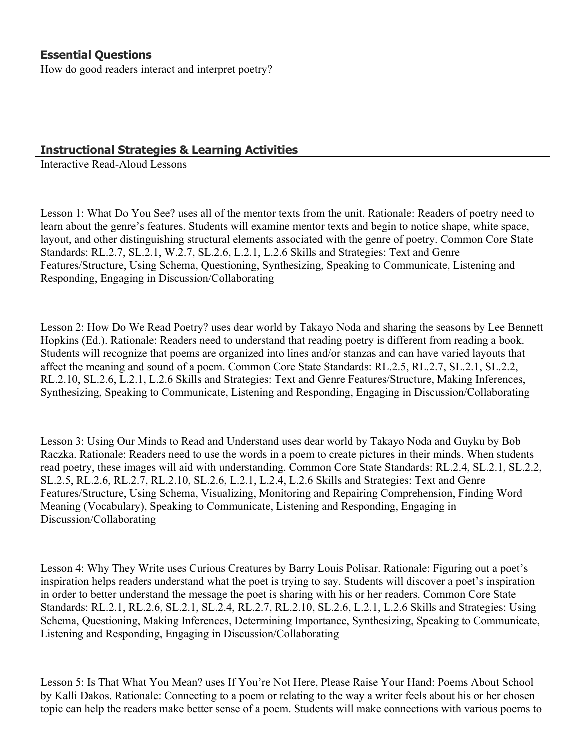How do good readers interact and interpret poetry?

# **Instructional Strategies & Learning Activities**

Interactive Read-Aloud Lessons

Lesson 1: What Do You See? uses all of the mentor texts from the unit. Rationale: Readers of poetry need to learn about the genre's features. Students will examine mentor texts and begin to notice shape, white space, layout, and other distinguishing structural elements associated with the genre of poetry. Common Core State Standards: RL.2.7, SL.2.1, W.2.7, SL.2.6, L.2.1, L.2.6 Skills and Strategies: Text and Genre Features/Structure, Using Schema, Questioning, Synthesizing, Speaking to Communicate, Listening and Responding, Engaging in Discussion/Collaborating

Lesson 2: How Do We Read Poetry? uses dear world by Takayo Noda and sharing the seasons by Lee Bennett Hopkins (Ed.). Rationale: Readers need to understand that reading poetry is different from reading a book. Students will recognize that poems are organized into lines and/or stanzas and can have varied layouts that affect the meaning and sound of a poem. Common Core State Standards: RL.2.5, RL.2.7, SL.2.1, SL.2.2, RL.2.10, SL.2.6, L.2.1, L.2.6 Skills and Strategies: Text and Genre Features/Structure, Making Inferences, Synthesizing, Speaking to Communicate, Listening and Responding, Engaging in Discussion/Collaborating

Lesson 3: Using Our Minds to Read and Understand uses dear world by Takayo Noda and Guyku by Bob Raczka. Rationale: Readers need to use the words in a poem to create pictures in their minds. When students read poetry, these images will aid with understanding. Common Core State Standards: RL.2.4, SL.2.1, SL.2.2, SL.2.5, RL.2.6, RL.2.7, RL.2.10, SL.2.6, L.2.1, L.2.4, L.2.6 Skills and Strategies: Text and Genre Features/Structure, Using Schema, Visualizing, Monitoring and Repairing Comprehension, Finding Word Meaning (Vocabulary), Speaking to Communicate, Listening and Responding, Engaging in Discussion/Collaborating

Lesson 4: Why They Write uses Curious Creatures by Barry Louis Polisar. Rationale: Figuring out a poet's inspiration helps readers understand what the poet is trying to say. Students will discover a poet's inspiration in order to better understand the message the poet is sharing with his or her readers. Common Core State Standards: RL.2.1, RL.2.6, SL.2.1, SL.2.4, RL.2.7, RL.2.10, SL.2.6, L.2.1, L.2.6 Skills and Strategies: Using Schema, Questioning, Making Inferences, Determining Importance, Synthesizing, Speaking to Communicate, Listening and Responding, Engaging in Discussion/Collaborating

Lesson 5: Is That What You Mean? uses If You're Not Here, Please Raise Your Hand: Poems About School by Kalli Dakos. Rationale: Connecting to a poem or relating to the way a writer feels about his or her chosen topic can help the readers make better sense of a poem. Students will make connections with various poems to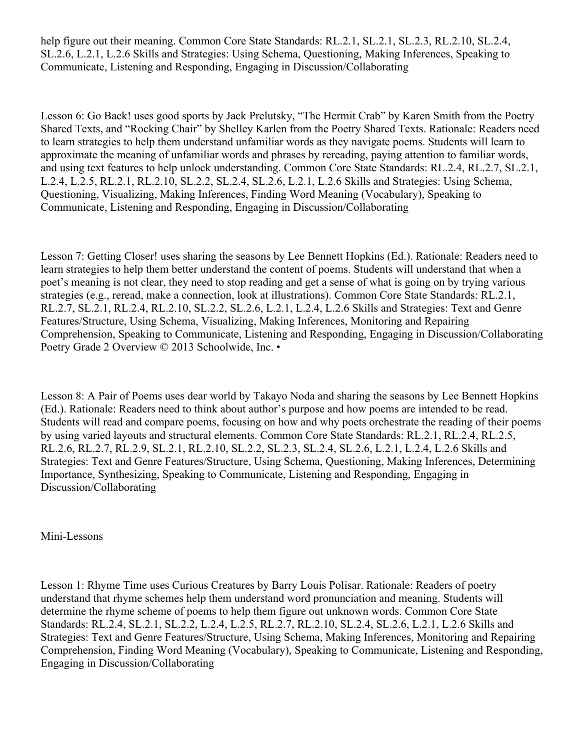help figure out their meaning. Common Core State Standards: RL.2.1, SL.2.1, SL.2.3, RL.2.10, SL.2.4, SL.2.6, L.2.1, L.2.6 Skills and Strategies: Using Schema, Questioning, Making Inferences, Speaking to Communicate, Listening and Responding, Engaging in Discussion/Collaborating

Lesson 6: Go Back! uses good sports by Jack Prelutsky, "The Hermit Crab" by Karen Smith from the Poetry Shared Texts, and "Rocking Chair" by Shelley Karlen from the Poetry Shared Texts. Rationale: Readers need to learn strategies to help them understand unfamiliar words as they navigate poems. Students will learn to approximate the meaning of unfamiliar words and phrases by rereading, paying attention to familiar words, and using text features to help unlock understanding. Common Core State Standards: RL.2.4, RL.2.7, SL.2.1, L.2.4, L.2.5, RL.2.1, RL.2.10, SL.2.2, SL.2.4, SL.2.6, L.2.1, L.2.6 Skills and Strategies: Using Schema, Questioning, Visualizing, Making Inferences, Finding Word Meaning (Vocabulary), Speaking to Communicate, Listening and Responding, Engaging in Discussion/Collaborating

Lesson 7: Getting Closer! uses sharing the seasons by Lee Bennett Hopkins (Ed.). Rationale: Readers need to learn strategies to help them better understand the content of poems. Students will understand that when a poet's meaning is not clear, they need to stop reading and get a sense of what is going on by trying various strategies (e.g., reread, make a connection, look at illustrations). Common Core State Standards: RL.2.1, RL.2.7, SL.2.1, RL.2.4, RL.2.10, SL.2.2, SL.2.6, L.2.1, L.2.4, L.2.6 Skills and Strategies: Text and Genre Features/Structure, Using Schema, Visualizing, Making Inferences, Monitoring and Repairing Comprehension, Speaking to Communicate, Listening and Responding, Engaging in Discussion/Collaborating Poetry Grade 2 Overview © 2013 Schoolwide, Inc. •

Lesson 8: A Pair of Poems uses dear world by Takayo Noda and sharing the seasons by Lee Bennett Hopkins (Ed.). Rationale: Readers need to think about author's purpose and how poems are intended to be read. Students will read and compare poems, focusing on how and why poets orchestrate the reading of their poems by using varied layouts and structural elements. Common Core State Standards: RL.2.1, RL.2.4, RL.2.5, RL.2.6, RL.2.7, RL.2.9, SL.2.1, RL.2.10, SL.2.2, SL.2.3, SL.2.4, SL.2.6, L.2.1, L.2.4, L.2.6 Skills and Strategies: Text and Genre Features/Structure, Using Schema, Questioning, Making Inferences, Determining Importance, Synthesizing, Speaking to Communicate, Listening and Responding, Engaging in Discussion/Collaborating

Mini-Lessons

Lesson 1: Rhyme Time uses Curious Creatures by Barry Louis Polisar. Rationale: Readers of poetry understand that rhyme schemes help them understand word pronunciation and meaning. Students will determine the rhyme scheme of poems to help them figure out unknown words. Common Core State Standards: RL.2.4, SL.2.1, SL.2.2, L.2.4, L.2.5, RL.2.7, RL.2.10, SL.2.4, SL.2.6, L.2.1, L.2.6 Skills and Strategies: Text and Genre Features/Structure, Using Schema, Making Inferences, Monitoring and Repairing Comprehension, Finding Word Meaning (Vocabulary), Speaking to Communicate, Listening and Responding, Engaging in Discussion/Collaborating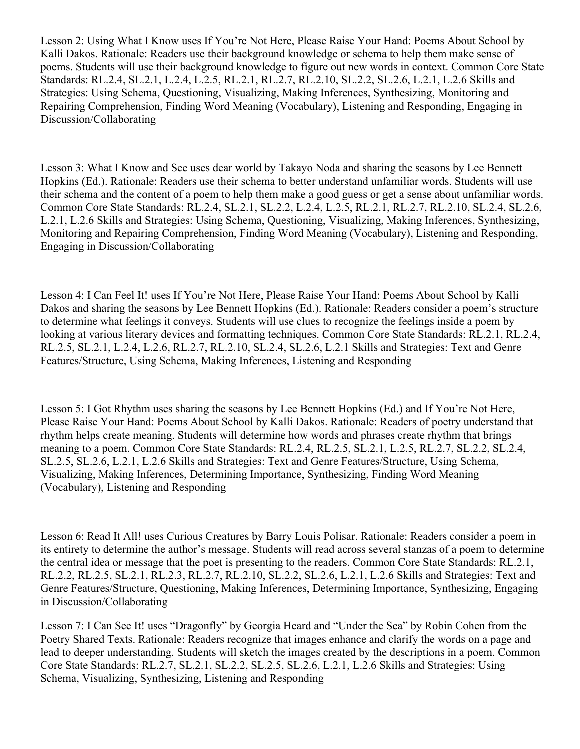Lesson 2: Using What I Know uses If You're Not Here, Please Raise Your Hand: Poems About School by Kalli Dakos. Rationale: Readers use their background knowledge or schema to help them make sense of poems. Students will use their background knowledge to figure out new words in context. Common Core State Standards: RL.2.4, SL.2.1, L.2.4, L.2.5, RL.2.1, RL.2.7, RL.2.10, SL.2.2, SL.2.6, L.2.1, L.2.6 Skills and Strategies: Using Schema, Questioning, Visualizing, Making Inferences, Synthesizing, Monitoring and Repairing Comprehension, Finding Word Meaning (Vocabulary), Listening and Responding, Engaging in Discussion/Collaborating

Lesson 3: What I Know and See uses dear world by Takayo Noda and sharing the seasons by Lee Bennett Hopkins (Ed.). Rationale: Readers use their schema to better understand unfamiliar words. Students will use their schema and the content of a poem to help them make a good guess or get a sense about unfamiliar words. Common Core State Standards: RL.2.4, SL.2.1, SL.2.2, L.2.4, L.2.5, RL.2.1, RL.2.7, RL.2.10, SL.2.4, SL.2.6, L.2.1, L.2.6 Skills and Strategies: Using Schema, Questioning, Visualizing, Making Inferences, Synthesizing, Monitoring and Repairing Comprehension, Finding Word Meaning (Vocabulary), Listening and Responding, Engaging in Discussion/Collaborating

Lesson 4: I Can Feel It! uses If You're Not Here, Please Raise Your Hand: Poems About School by Kalli Dakos and sharing the seasons by Lee Bennett Hopkins (Ed.). Rationale: Readers consider a poem's structure to determine what feelings it conveys. Students will use clues to recognize the feelings inside a poem by looking at various literary devices and formatting techniques. Common Core State Standards: RL.2.1, RL.2.4, RL.2.5, SL.2.1, L.2.4, L.2.6, RL.2.7, RL.2.10, SL.2.4, SL.2.6, L.2.1 Skills and Strategies: Text and Genre Features/Structure, Using Schema, Making Inferences, Listening and Responding

Lesson 5: I Got Rhythm uses sharing the seasons by Lee Bennett Hopkins (Ed.) and If You're Not Here, Please Raise Your Hand: Poems About School by Kalli Dakos. Rationale: Readers of poetry understand that rhythm helps create meaning. Students will determine how words and phrases create rhythm that brings meaning to a poem. Common Core State Standards: RL.2.4, RL.2.5, SL.2.1, L.2.5, RL.2.7, SL.2.2, SL.2.4, SL.2.5, SL.2.6, L.2.1, L.2.6 Skills and Strategies: Text and Genre Features/Structure, Using Schema, Visualizing, Making Inferences, Determining Importance, Synthesizing, Finding Word Meaning (Vocabulary), Listening and Responding

Lesson 6: Read It All! uses Curious Creatures by Barry Louis Polisar. Rationale: Readers consider a poem in its entirety to determine the author's message. Students will read across several stanzas of a poem to determine the central idea or message that the poet is presenting to the readers. Common Core State Standards: RL.2.1, RL.2.2, RL.2.5, SL.2.1, RL.2.3, RL.2.7, RL.2.10, SL.2.2, SL.2.6, L.2.1, L.2.6 Skills and Strategies: Text and Genre Features/Structure, Questioning, Making Inferences, Determining Importance, Synthesizing, Engaging in Discussion/Collaborating

Lesson 7: I Can See It! uses "Dragonfly" by Georgia Heard and "Under the Sea" by Robin Cohen from the Poetry Shared Texts. Rationale: Readers recognize that images enhance and clarify the words on a page and lead to deeper understanding. Students will sketch the images created by the descriptions in a poem. Common Core State Standards: RL.2.7, SL.2.1, SL.2.2, SL.2.5, SL.2.6, L.2.1, L.2.6 Skills and Strategies: Using Schema, Visualizing, Synthesizing, Listening and Responding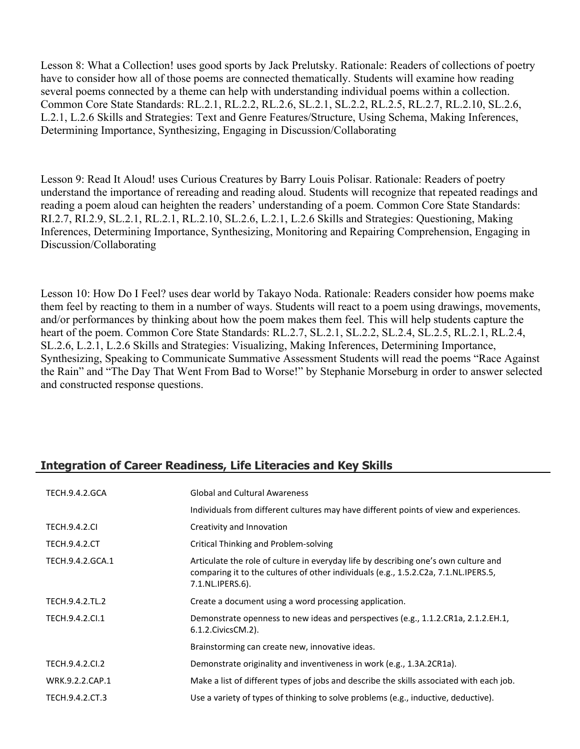Lesson 8: What a Collection! uses good sports by Jack Prelutsky. Rationale: Readers of collections of poetry have to consider how all of those poems are connected thematically. Students will examine how reading several poems connected by a theme can help with understanding individual poems within a collection. Common Core State Standards: RL.2.1, RL.2.2, RL.2.6, SL.2.1, SL.2.2, RL.2.5, RL.2.7, RL.2.10, SL.2.6, L.2.1, L.2.6 Skills and Strategies: Text and Genre Features/Structure, Using Schema, Making Inferences, Determining Importance, Synthesizing, Engaging in Discussion/Collaborating

Lesson 9: Read It Aloud! uses Curious Creatures by Barry Louis Polisar. Rationale: Readers of poetry understand the importance of rereading and reading aloud. Students will recognize that repeated readings and reading a poem aloud can heighten the readers' understanding of a poem. Common Core State Standards: RI.2.7, RI.2.9, SL.2.1, RL.2.1, RL.2.10, SL.2.6, L.2.1, L.2.6 Skills and Strategies: Questioning, Making Inferences, Determining Importance, Synthesizing, Monitoring and Repairing Comprehension, Engaging in Discussion/Collaborating

Lesson 10: How Do I Feel? uses dear world by Takayo Noda. Rationale: Readers consider how poems make them feel by reacting to them in a number of ways. Students will react to a poem using drawings, movements, and/or performances by thinking about how the poem makes them feel. This will help students capture the heart of the poem. Common Core State Standards: RL.2.7, SL.2.1, SL.2.2, SL.2.4, SL.2.5, RL.2.1, RL.2.4, SL.2.6, L.2.1, L.2.6 Skills and Strategies: Visualizing, Making Inferences, Determining Importance, Synthesizing, Speaking to Communicate Summative Assessment Students will read the poems "Race Against the Rain" and "The Day That Went From Bad to Worse!" by Stephanie Morseburg in order to answer selected and constructed response questions.

# **Integration of Career Readiness, Life Literacies and Key Skills**

| <b>TECH.9.4.2.GCA</b> | <b>Global and Cultural Awareness</b>                                                                                                                                                           |
|-----------------------|------------------------------------------------------------------------------------------------------------------------------------------------------------------------------------------------|
|                       | Individuals from different cultures may have different points of view and experiences.                                                                                                         |
| <b>TECH.9.4.2.CI</b>  | Creativity and Innovation                                                                                                                                                                      |
| <b>TECH.9.4.2.CT</b>  | Critical Thinking and Problem-solving                                                                                                                                                          |
| TECH.9.4.2.GCA.1      | Articulate the role of culture in everyday life by describing one's own culture and<br>comparing it to the cultures of other individuals (e.g., 1.5.2.C2a, 7.1.NL.IPERS.5,<br>7.1.NL.IPERS.6). |
| TECH.9.4.2.TL.2       | Create a document using a word processing application.                                                                                                                                         |
| TECH.9.4.2.Cl.1       | Demonstrate openness to new ideas and perspectives (e.g., 1.1.2.CR1a, 2.1.2.EH.1,<br>6.1.2. Civics CM. 2).                                                                                     |
|                       | Brainstorming can create new, innovative ideas.                                                                                                                                                |
| TECH.9.4.2.CI.2       | Demonstrate originality and inventiveness in work (e.g., 1.3A.2CR1a).                                                                                                                          |
| WRK.9.2.2.CAP.1       | Make a list of different types of jobs and describe the skills associated with each job.                                                                                                       |
| TECH.9.4.2.CT.3       | Use a variety of types of thinking to solve problems (e.g., inductive, deductive).                                                                                                             |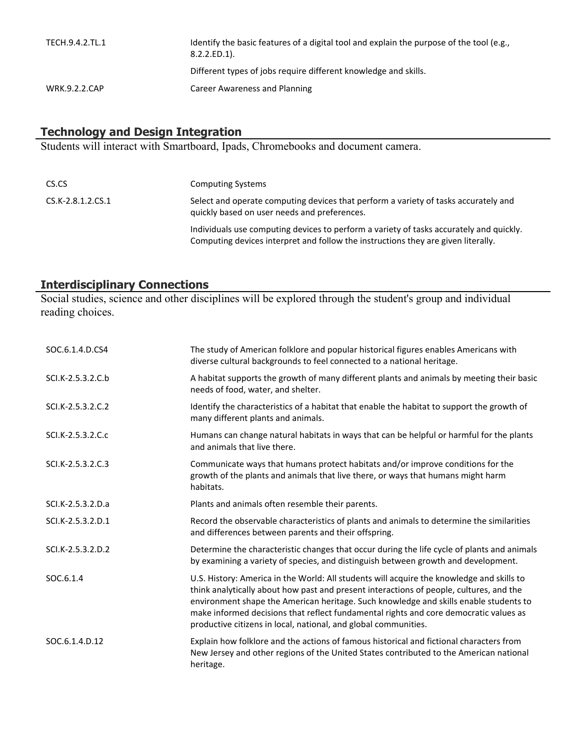| TECH.9.4.2.TL.1      | Identify the basic features of a digital tool and explain the purpose of the tool (e.g.,<br>$8.2.2.ED.1$ ). |
|----------------------|-------------------------------------------------------------------------------------------------------------|
|                      | Different types of jobs require different knowledge and skills.                                             |
| <b>WRK.9.2.2.CAP</b> | Career Awareness and Planning                                                                               |

# **Technology and Design Integration**

Students will interact with Smartboard, Ipads, Chromebooks and document camera.

| CS.CS             | <b>Computing Systems</b>                                                                                                                                                     |
|-------------------|------------------------------------------------------------------------------------------------------------------------------------------------------------------------------|
| CS.K-2.8.1.2.CS.1 | Select and operate computing devices that perform a variety of tasks accurately and<br>quickly based on user needs and preferences.                                          |
|                   | Individuals use computing devices to perform a variety of tasks accurately and quickly.<br>Computing devices interpret and follow the instructions they are given literally. |

# **Interdisciplinary Connections**

Social studies, science and other disciplines will be explored through the student's group and individual reading choices.

| SOC.6.1.4.D.CS4   | The study of American folklore and popular historical figures enables Americans with<br>diverse cultural backgrounds to feel connected to a national heritage.                                                                                                                                                                                                                                                                            |
|-------------------|-------------------------------------------------------------------------------------------------------------------------------------------------------------------------------------------------------------------------------------------------------------------------------------------------------------------------------------------------------------------------------------------------------------------------------------------|
| SCI.K-2.5.3.2.C.b | A habitat supports the growth of many different plants and animals by meeting their basic<br>needs of food, water, and shelter.                                                                                                                                                                                                                                                                                                           |
| SCI.K-2.5.3.2.C.2 | Identify the characteristics of a habitat that enable the habitat to support the growth of<br>many different plants and animals.                                                                                                                                                                                                                                                                                                          |
| SCI.K-2.5.3.2.C.c | Humans can change natural habitats in ways that can be helpful or harmful for the plants<br>and animals that live there.                                                                                                                                                                                                                                                                                                                  |
| SCI.K-2.5.3.2.C.3 | Communicate ways that humans protect habitats and/or improve conditions for the<br>growth of the plants and animals that live there, or ways that humans might harm<br>habitats.                                                                                                                                                                                                                                                          |
| SCI.K-2.5.3.2.D.a | Plants and animals often resemble their parents.                                                                                                                                                                                                                                                                                                                                                                                          |
| SCI.K-2.5.3.2.D.1 | Record the observable characteristics of plants and animals to determine the similarities<br>and differences between parents and their offspring.                                                                                                                                                                                                                                                                                         |
| SCI.K-2.5.3.2.D.2 | Determine the characteristic changes that occur during the life cycle of plants and animals<br>by examining a variety of species, and distinguish between growth and development.                                                                                                                                                                                                                                                         |
| SOC.6.1.4         | U.S. History: America in the World: All students will acquire the knowledge and skills to<br>think analytically about how past and present interactions of people, cultures, and the<br>environment shape the American heritage. Such knowledge and skills enable students to<br>make informed decisions that reflect fundamental rights and core democratic values as<br>productive citizens in local, national, and global communities. |
| SOC.6.1.4.D.12    | Explain how folklore and the actions of famous historical and fictional characters from<br>New Jersey and other regions of the United States contributed to the American national<br>heritage.                                                                                                                                                                                                                                            |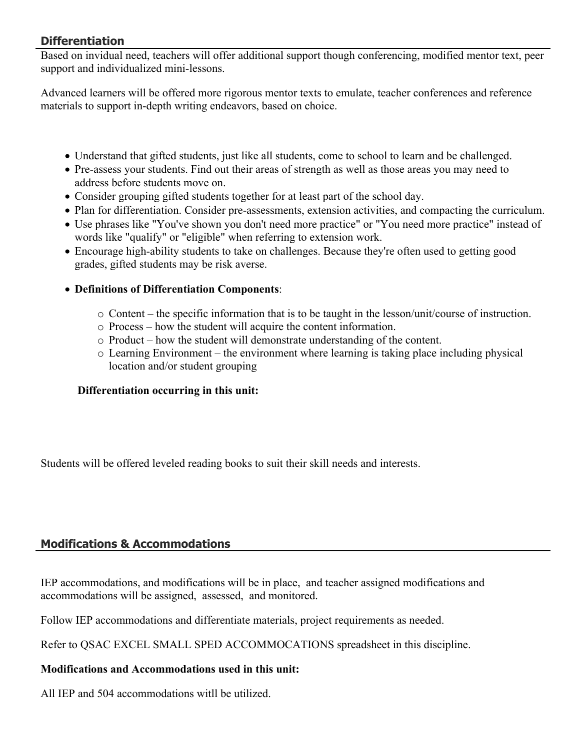# **Differentiation**

Based on invidual need, teachers will offer additional support though conferencing, modified mentor text, peer support and individualized mini-lessons.

Advanced learners will be offered more rigorous mentor texts to emulate, teacher conferences and reference materials to support in-depth writing endeavors, based on choice.

- Understand that gifted students, just like all students, come to school to learn and be challenged.
- Pre-assess your students. Find out their areas of strength as well as those areas you may need to address before students move on.
- Consider grouping gifted students together for at least part of the school day.
- Plan for differentiation. Consider pre-assessments, extension activities, and compacting the curriculum.
- Use phrases like "You've shown you don't need more practice" or "You need more practice" instead of words like "qualify" or "eligible" when referring to extension work.
- Encourage high-ability students to take on challenges. Because they're often used to getting good grades, gifted students may be risk averse.
- **Definitions of Differentiation Components**:
	- $\circ$  Content the specific information that is to be taught in the lesson/unit/course of instruction.
	- o Process how the student will acquire the content information.
	- o Product how the student will demonstrate understanding of the content.
	- o Learning Environment the environment where learning is taking place including physical location and/or student grouping

# **Differentiation occurring in this unit:**

Students will be offered leveled reading books to suit their skill needs and interests.

# **Modifications & Accommodations**

IEP accommodations, and modifications will be in place, and teacher assigned modifications and accommodations will be assigned, assessed, and monitored.

Follow IEP accommodations and differentiate materials, project requirements as needed.

Refer to QSAC EXCEL SMALL SPED ACCOMMOCATIONS spreadsheet in this discipline.

# **Modifications and Accommodations used in this unit:**

All IEP and 504 accommodations witll be utilized.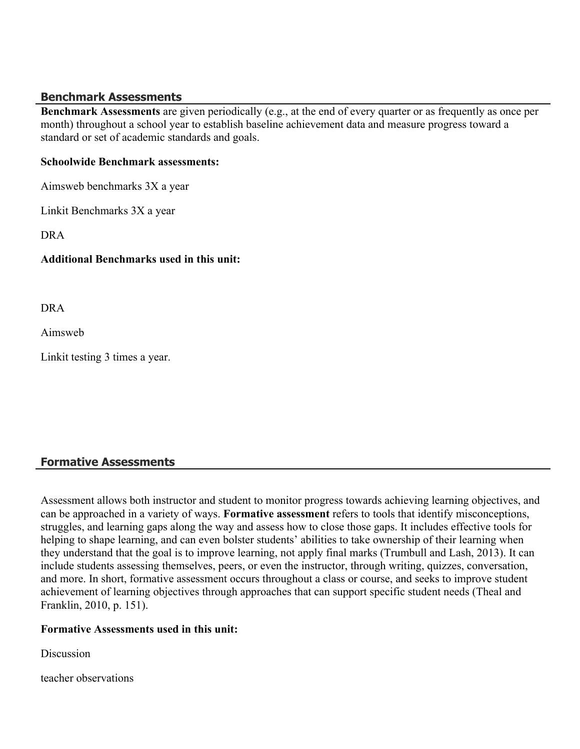#### **Benchmark Assessments**

**Benchmark Assessments** are given periodically (e.g., at the end of every quarter or as frequently as once per month) throughout a school year to establish baseline achievement data and measure progress toward a standard or set of academic standards and goals.

#### **Schoolwide Benchmark assessments:**

Aimsweb benchmarks 3X a year

Linkit Benchmarks 3X a year

DRA

#### **Additional Benchmarks used in this unit:**

DRA

Aimsweb

Linkit testing 3 times a year.

# **Formative Assessments**

Assessment allows both instructor and student to monitor progress towards achieving learning objectives, and can be approached in a variety of ways. **Formative assessment** refers to tools that identify misconceptions, struggles, and learning gaps along the way and assess how to close those gaps. It includes effective tools for helping to shape learning, and can even bolster students' abilities to take ownership of their learning when they understand that the goal is to improve learning, not apply final marks (Trumbull and Lash, 2013). It can include students assessing themselves, peers, or even the instructor, through writing, quizzes, conversation, and more. In short, formative assessment occurs throughout a class or course, and seeks to improve student achievement of learning objectives through approaches that can support specific student needs (Theal and Franklin, 2010, p. 151).

#### **Formative Assessments used in this unit:**

Discussion

teacher observations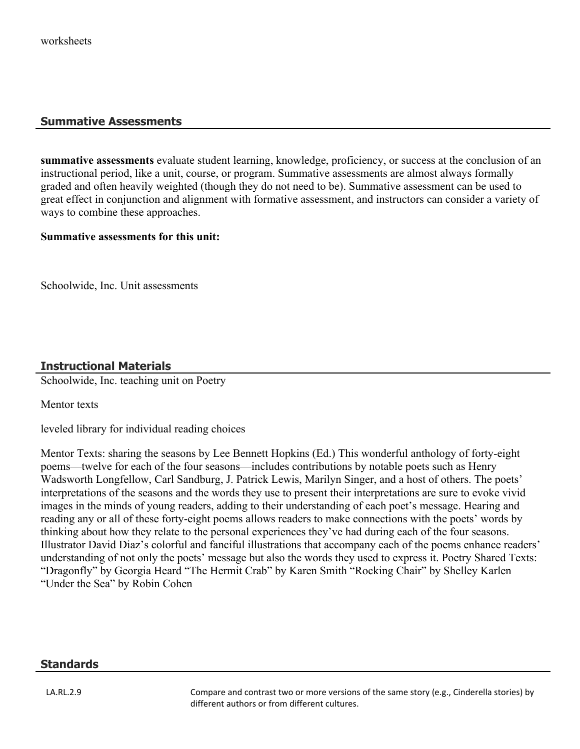#### **Summative Assessments**

**summative assessments** evaluate student learning, knowledge, proficiency, or success at the conclusion of an instructional period, like a unit, course, or program. Summative assessments are almost always formally graded and often heavily weighted (though they do not need to be). Summative assessment can be used to great effect in conjunction and alignment with formative assessment, and instructors can consider a variety of ways to combine these approaches.

#### **Summative assessments for this unit:**

Schoolwide, Inc. Unit assessments

# **Instructional Materials**

Schoolwide, Inc. teaching unit on Poetry

Mentor texts

leveled library for individual reading choices

Mentor Texts: sharing the seasons by Lee Bennett Hopkins (Ed.) This wonderful anthology of forty-eight poems—twelve for each of the four seasons—includes contributions by notable poets such as Henry Wadsworth Longfellow, Carl Sandburg, J. Patrick Lewis, Marilyn Singer, and a host of others. The poets' interpretations of the seasons and the words they use to present their interpretations are sure to evoke vivid images in the minds of young readers, adding to their understanding of each poet's message. Hearing and reading any or all of these forty-eight poems allows readers to make connections with the poets' words by thinking about how they relate to the personal experiences they've had during each of the four seasons. Illustrator David Diaz's colorful and fanciful illustrations that accompany each of the poems enhance readers' understanding of not only the poets' message but also the words they used to express it. Poetry Shared Texts: "Dragonfly" by Georgia Heard "The Hermit Crab" by Karen Smith "Rocking Chair" by Shelley Karlen "Under the Sea" by Robin Cohen

#### **Standards**

LA.RL.2.9 Compare and contrast two or more versions of the same story (e.g., Cinderella stories) by different authors or from different cultures.